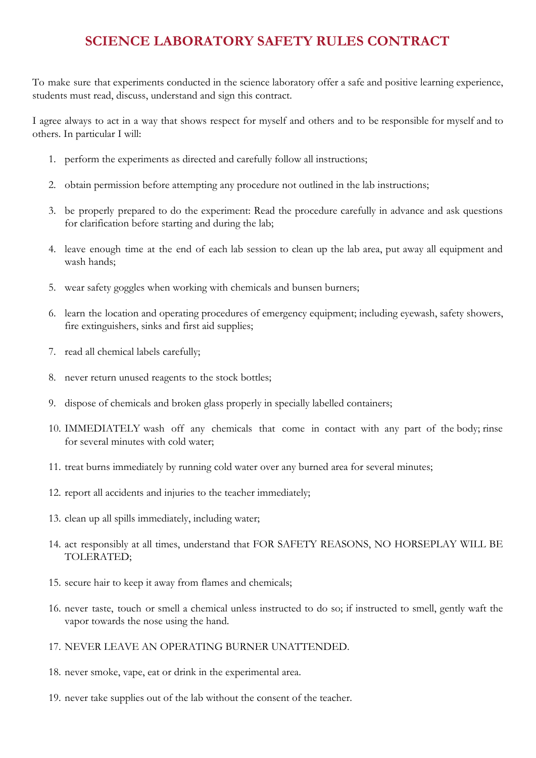## **SCIENCE LABORATORY SAFETY RULES CONTRACT**

To make sure that experiments conducted in the science laboratory offer a safe and positive learning experience, students must read, discuss, understand and sign this contract.

I agree always to act in a way that shows respect for myself and others and to be responsible for myself and to others. In particular I will:

- 1. perform the experiments as directed and carefully follow all instructions;
- 2. obtain permission before attempting any procedure not outlined in the lab instructions;
- 3. be properly prepared to do the experiment: Read the procedure carefully in advance and ask questions for clarification before starting and during the lab;
- 4. leave enough time at the end of each lab session to clean up the lab area, put away all equipment and wash hands;
- 5. wear safety goggles when working with chemicals and bunsen burners;
- 6. learn the location and operating procedures of emergency equipment; including eyewash, safety showers, fire extinguishers, sinks and first aid supplies;
- 7. read all chemical labels carefully;
- 8. never return unused reagents to the stock bottles;
- 9. dispose of chemicals and broken glass properly in specially labelled containers;
- 10. IMMEDIATELY wash off any chemicals that come in contact with any part of the body; rinse for several minutes with cold water;
- 11. treat burns immediately by running cold water over any burned area for several minutes;
- 12. report all accidents and injuries to the teacher immediately;
- 13. clean up all spills immediately, including water;
- 14. act responsibly at all times, understand that FOR SAFETY REASONS, NO HORSEPLAY WILL BE TOLERATED;
- 15. secure hair to keep it away from flames and chemicals;
- 16. never taste, touch or smell a chemical unless instructed to do so; if instructed to smell, gently waft the vapor towards the nose using the hand.
- 17. NEVER LEAVE AN OPERATING BURNER UNATTENDED.
- 18. never smoke, vape, eat or drink in the experimental area.
- 19. never take supplies out of the lab without the consent of the teacher.